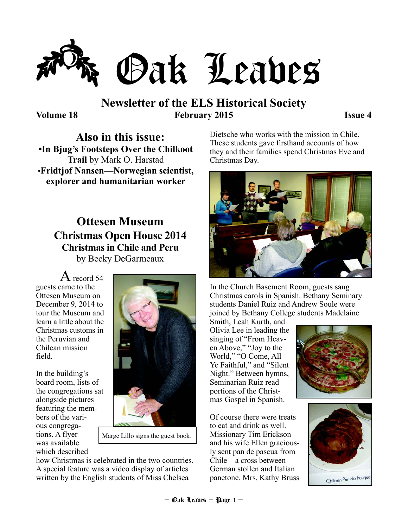

## **Newsletter of the ELS Historical Society Volume 18 February 2015 Issue 4**

**Also in this issue: •In Bjug's Footsteps Over the Chilkoot Trail** by Mark O. Harstad •**Fridtjof Nansen—Norwegian scientist, explorer and humanitarian worker** 

## **Ottesen Museum Christmas Open House 2014 Christmas in Chile and Peru**  by Becky DeGarmeaux

 $\rm A$  record 54 guests came to the Ottesen Museum on December 9, 2014 to tour the Museum and learn a little about the Christmas customs in the Peruvian and Chilean mission field.

In the building's board room, lists of the congregations sat alongside pictures featuring the members of the various congregations. A flyer was available which described



Marge Lillo signs the guest book.

how Christmas is celebrated in the two countries. A special feature was a video display of articles written by the English students of Miss Chelsea

Dietsche who works with the mission in Chile. These students gave firsthand accounts of how they and their families spend Christmas Eve and Christmas Day.



In the Church Basement Room, guests sang Christmas carols in Spanish. Bethany Seminary students Daniel Ruiz and Andrew Soule were joined by Bethany College students Madelaine

Smith, Leah Kurth, and Olivia Lee in leading the singing of "From Heaven Above," "Joy to the World," "O Come, All Ye Faithful," and "Silent Night." Between hymns, Seminarian Ruiz read portions of the Christmas Gospel in Spanish.

Of course there were treats to eat and drink as well. Missionary Tim Erickson and his wife Ellen graciously sent pan de pascua from Chile—a cross between German stollen and Italian panetone. Mrs. Kathy Bruss



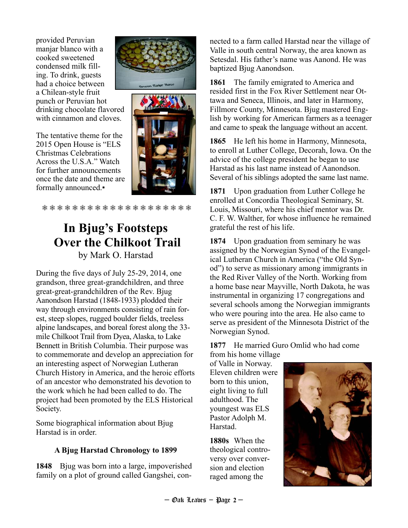provided Peruvian manjar blanco with a cooked sweetened condensed milk filling. To drink, guests had a choice between a Chilean-style fruit punch or Peruvian hot drinking chocolate flavored with cinnamon and cloves.

The tentative theme for the 2015 Open House is "ELS Christmas Celebrations Across the U.S.A." Watch for further announcements once the date and theme are formally announced.▪





❅ ❅ ❅ ❅ ❅ ❅ ❅ ❅ ❅ ❅ ❅ ❅ ❅ ❅ ❅ ❅ ❅ ❅ ❅ ❅

# **In Bjug's Footsteps Over the Chilkoot Trail**  by Mark O. Harstad

During the five days of July 25-29, 2014, one grandson, three great-grandchildren, and three great-great-grandchildren of the Rev. Bjug Aanondson Harstad (1848-1933) plodded their way through environments consisting of rain forest, steep slopes, rugged boulder fields, treeless alpine landscapes, and boreal forest along the 33 mile Chilkoot Trail from Dyea, Alaska, to Lake Bennett in British Columbia. Their purpose was to commemorate and develop an appreciation for an interesting aspect of Norwegian Lutheran Church History in America, and the heroic efforts of an ancestor who demonstrated his devotion to the work which he had been called to do. The project had been promoted by the ELS Historical

Some biographical information about Bjug Harstad is in order.

Society.

### **A Bjug Harstad Chronology to 1899**

**1848** Bjug was born into a large, impoverished family on a plot of ground called Gangshei, connected to a farm called Harstad near the village of Valle in south central Norway, the area known as Setesdal. His father's name was Aanond. He was baptized Bjug Aanondson.

**1861** The family emigrated to America and resided first in the Fox River Settlement near Ottawa and Seneca, Illinois, and later in Harmony, Fillmore County, Minnesota. Bjug mastered English by working for American farmers as a teenager and came to speak the language without an accent.

**1865** He left his home in Harmony, Minnesota, to enroll at Luther College, Decorah, Iowa. On the advice of the college president he began to use Harstad as his last name instead of Aanondson. Several of his siblings adopted the same last name.

**1871** Upon graduation from Luther College he enrolled at Concordia Theological Seminary, St. Louis, Missouri, where his chief mentor was Dr. C. F. W. Walther, for whose influence he remained grateful the rest of his life.

**1874** Upon graduation from seminary he was assigned by the Norwegian Synod of the Evangelical Lutheran Church in America ("the Old Synod") to serve as missionary among immigrants in the Red River Valley of the North. Working from a home base near Mayville, North Dakota, he was instrumental in organizing 17 congregations and several schools among the Norwegian immigrants who were pouring into the area. He also came to serve as president of the Minnesota District of the Norwegian Synod.

**1877** He married Guro Omlid who had come

from his home village of Valle in Norway. Eleven children were born to this union, eight living to full adulthood. The youngest was ELS Pastor Adolph M. Harstad.

**1880s** When the theological controversy over conversion and election raged among the

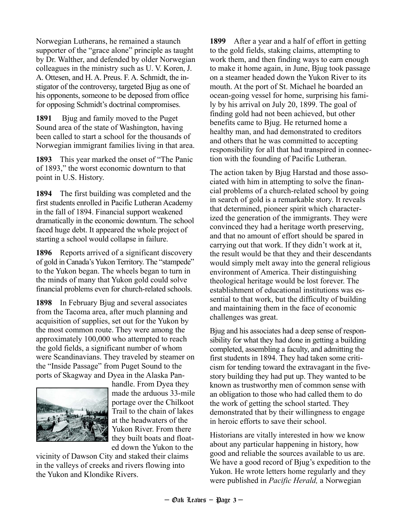Norwegian Lutherans, he remained a staunch supporter of the "grace alone" principle as taught by Dr. Walther, and defended by older Norwegian colleagues in the ministry such as U. V. Koren, J. A. Ottesen, and H. A. Preus. F. A. Schmidt, the instigator of the controversy, targeted Bjug as one of his opponents, someone to be deposed from office for opposing Schmidt's doctrinal compromises.

**1891** Bjug and family moved to the Puget Sound area of the state of Washington, having been called to start a school for the thousands of Norwegian immigrant families living in that area.

**1893** This year marked the onset of "The Panic of 1893," the worst economic downturn to that point in U.S. History.

**1894** The first building was completed and the first students enrolled in Pacific Lutheran Academy in the fall of 1894. Financial support weakened dramatically in the economic downturn. The school faced huge debt. It appeared the whole project of starting a school would collapse in failure.

**1896** Reports arrived of a significant discovery of gold in Canada's Yukon Territory. The "stampede" to the Yukon began. The wheels began to turn in the minds of many that Yukon gold could solve financial problems even for church-related schools.

**1898** In February Bjug and several associates from the Tacoma area, after much planning and acquisition of supplies, set out for the Yukon by the most common route. They were among the approximately 100,000 who attempted to reach the gold fields, a significant number of whom were Scandinavians. They traveled by steamer on the "Inside Passage" from Puget Sound to the ports of Skagway and Dyea in the Alaska Pan-



handle. From Dyea they made the arduous 33-mile portage over the Chilkoot Trail to the chain of lakes at the headwaters of the Yukon River. From there they built boats and floated down the Yukon to the

vicinity of Dawson City and staked their claims in the valleys of creeks and rivers flowing into the Yukon and Klondike Rivers.

**1899** After a year and a half of effort in getting to the gold fields, staking claims, attempting to work them, and then finding ways to earn enough to make it home again, in June, Bjug took passage on a steamer headed down the Yukon River to its mouth. At the port of St. Michael he boarded an ocean-going vessel for home, surprising his family by his arrival on July 20, 1899. The goal of finding gold had not been achieved, but other benefits came to Bjug. He returned home a healthy man, and had demonstrated to creditors and others that he was committed to accepting responsibility for all that had transpired in connection with the founding of Pacific Lutheran.

The action taken by Bjug Harstad and those associated with him in attempting to solve the financial problems of a church-related school by going in search of gold is a remarkable story. It reveals that determined, pioneer spirit which characterized the generation of the immigrants. They were convinced they had a heritage worth preserving, and that no amount of effort should be spared in carrying out that work. If they didn't work at it, the result would be that they and their descendants would simply melt away into the general religious environment of America. Their distinguishing theological heritage would be lost forever. The establishment of educational institutions was essential to that work, but the difficulty of building and maintaining them in the face of economic challenges was great.

Bjug and his associates had a deep sense of responsibility for what they had done in getting a building completed, assembling a faculty, and admitting the first students in 1894. They had taken some criticism for tending toward the extravagant in the fivestory building they had put up. They wanted to be known as trustworthy men of common sense with an obligation to those who had called them to do the work of getting the school started. They demonstrated that by their willingness to engage in heroic efforts to save their school.

Historians are vitally interested in how we know about any particular happening in history, how good and reliable the sources available to us are. We have a good record of Bjug's expedition to the Yukon. He wrote letters home regularly and they were published in *Pacific Herald,* a Norwegian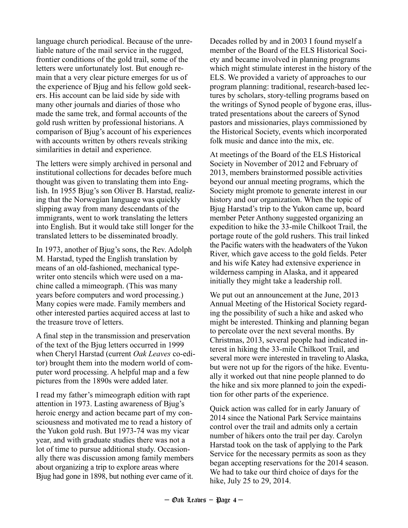language church periodical. Because of the unreliable nature of the mail service in the rugged, frontier conditions of the gold trail, some of the letters were unfortunately lost. But enough remain that a very clear picture emerges for us of the experience of Bjug and his fellow gold seekers. His account can be laid side by side with many other journals and diaries of those who made the same trek, and formal accounts of the gold rush written by professional historians. A comparison of Bjug's account of his experiences with accounts written by others reveals striking similarities in detail and experience.

The letters were simply archived in personal and institutional collections for decades before much thought was given to translating them into English. In 1955 Bjug's son Oliver B. Harstad, realizing that the Norwegian language was quickly slipping away from many descendants of the immigrants, went to work translating the letters into English. But it would take still longer for the translated letters to be disseminated broadly.

In 1973, another of Bjug's sons, the Rev. Adolph M. Harstad, typed the English translation by means of an old-fashioned, mechanical typewriter onto stencils which were used on a machine called a mimeograph. (This was many years before computers and word processing.) Many copies were made. Family members and other interested parties acquired access at last to the treasure trove of letters.

A final step in the transmission and preservation of the text of the Bjug letters occurred in 1999 when Cheryl Harstad (current *Oak Leaves* co-editor) brought them into the modern world of computer word processing. A helpful map and a few pictures from the 1890s were added later.

I read my father's mimeograph edition with rapt attention in 1973. Lasting awareness of Bjug's heroic energy and action became part of my consciousness and motivated me to read a history of the Yukon gold rush. But 1973-74 was my vicar year, and with graduate studies there was not a lot of time to pursue additional study. Occasionally there was discussion among family members about organizing a trip to explore areas where Bjug had gone in 1898, but nothing ever came of it.

Decades rolled by and in 2003 I found myself a member of the Board of the ELS Historical Society and became involved in planning programs which might stimulate interest in the history of the ELS. We provided a variety of approaches to our program planning: traditional, research-based lectures by scholars, story-telling programs based on the writings of Synod people of bygone eras, illustrated presentations about the careers of Synod pastors and missionaries, plays commissioned by the Historical Society, events which incorporated folk music and dance into the mix, etc.

At meetings of the Board of the ELS Historical Society in November of 2012 and February of 2013, members brainstormed possible activities beyond our annual meeting programs, which the Society might promote to generate interest in our history and our organization. When the topic of Bjug Harstad's trip to the Yukon came up, board member Peter Anthony suggested organizing an expedition to hike the 33-mile Chilkoot Trail, the portage route of the gold rushers. This trail linked the Pacific waters with the headwaters of the Yukon River, which gave access to the gold fields. Peter and his wife Katey had extensive experience in wilderness camping in Alaska, and it appeared initially they might take a leadership roll.

We put out an announcement at the June, 2013 Annual Meeting of the Historical Society regarding the possibility of such a hike and asked who might be interested. Thinking and planning began to percolate over the next several months. By Christmas, 2013, several people had indicated interest in hiking the 33-mile Chilkoot Trail, and several more were interested in traveling to Alaska, but were not up for the rigors of the hike. Eventually it worked out that nine people planned to do the hike and six more planned to join the expedition for other parts of the experience.

Quick action was called for in early January of 2014 since the National Park Service maintains control over the trail and admits only a certain number of hikers onto the trail per day. Carolyn Harstad took on the task of applying to the Park Service for the necessary permits as soon as they began accepting reservations for the 2014 season. We had to take our third choice of days for the hike, July 25 to 29, 2014.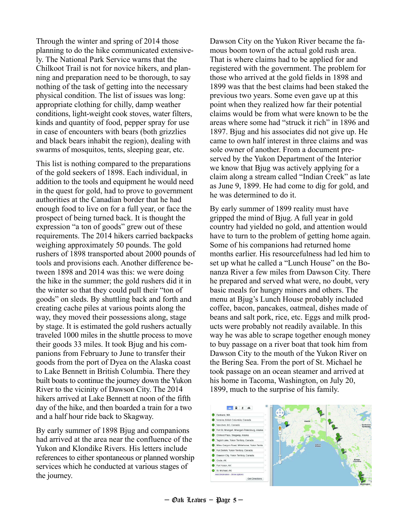Through the winter and spring of 2014 those planning to do the hike communicated extensively. The National Park Service warns that the Chilkoot Trail is not for novice hikers, and planning and preparation need to be thorough, to say nothing of the task of getting into the necessary physical condition. The list of issues was long: appropriate clothing for chilly, damp weather conditions, light-weight cook stoves, water filters, kinds and quantity of food, pepper spray for use in case of encounters with bears (both grizzlies and black bears inhabit the region), dealing with swarms of mosquitos, tents, sleeping gear, etc.

This list is nothing compared to the preparations of the gold seekers of 1898. Each individual, in addition to the tools and equipment he would need in the quest for gold, had to prove to government authorities at the Canadian border that he had enough food to live on for a full year, or face the prospect of being turned back. It is thought the expression "a ton of goods" grew out of these requirements. The 2014 hikers carried backpacks weighing approximately 50 pounds. The gold rushers of 1898 transported about 2000 pounds of tools and provisions each. Another difference between 1898 and 2014 was this: we were doing the hike in the summer; the gold rushers did it in the winter so that they could pull their "ton of goods" on sleds. By shuttling back and forth and creating cache piles at various points along the way, they moved their possessions along, stage by stage. It is estimated the gold rushers actually traveled 1000 miles in the shuttle process to move their goods 33 miles. It took Bjug and his companions from February to June to transfer their goods from the port of Dyea on the Alaska coast to Lake Bennett in British Columbia. There they built boats to continue the journey down the Yukon River to the vicinity of Dawson City. The 2014 hikers arrived at Lake Bennett at noon of the fifth day of the hike, and then boarded a train for a two and a half hour ride back to Skagway.

By early summer of 1898 Bjug and companions had arrived at the area near the confluence of the Yukon and Klondike Rivers. His letters include references to either spontaneous or planned worship services which he conducted at various stages of the journey.

Dawson City on the Yukon River became the famous boom town of the actual gold rush area. That is where claims had to be applied for and registered with the government. The problem for those who arrived at the gold fields in 1898 and 1899 was that the best claims had been staked the previous two years. Some even gave up at this point when they realized how far their potential claims would be from what were known to be the areas where some had "struck it rich" in 1896 and 1897. Bjug and his associates did not give up. He came to own half interest in three claims and was sole owner of another. From a document preserved by the Yukon Department of the Interior we know that Bjug was actively applying for a claim along a stream called "Indian Creek" as late as June 9, 1899. He had come to dig for gold, and he was determined to do it.

By early summer of 1899 reality must have gripped the mind of Bjug. A full year in gold country had yielded no gold, and attention would have to turn to the problem of getting home again. Some of his companions had returned home months earlier. His resourcefulness had led him to set up what he called a "Lunch House" on the Bonanza River a few miles from Dawson City. There he prepared and served what were, no doubt, very basic meals for hungry miners and others. The menu at Bjug's Lunch House probably included coffee, bacon, pancakes, oatmeal, dishes made of beans and salt pork, rice, etc. Eggs and milk products were probably not readily available. In this way he was able to scrape together enough money to buy passage on a river boat that took him from Dawson City to the mouth of the Yukon River on the Bering Sea. From the port of St. Michael he took passage on an ocean steamer and arrived at his home in Tacoma, Washington, on July 20, 1899, much to the surprise of his family.

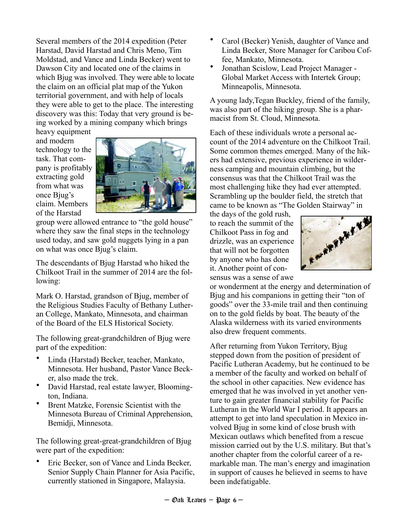Several members of the 2014 expedition (Peter Harstad, David Harstad and Chris Meno, Tim Moldstad, and Vance and Linda Becker) went to Dawson City and located one of the claims in which Bjug was involved. They were able to locate the claim on an official plat map of the Yukon territorial government, and with help of locals they were able to get to the place. The interesting discovery was this: Today that very ground is being worked by a mining company which brings

heavy equipment and modern technology to the task. That company is profitably extracting gold from what was once Bjug's claim. Members of the Harstad



group were allowed entrance to "the gold house" where they saw the final steps in the technology used today, and saw gold nuggets lying in a pan on what was once Bjug's claim.

The descendants of Bjug Harstad who hiked the Chilkoot Trail in the summer of 2014 are the following:

Mark O. Harstad, grandson of Bjug, member of the Religious Studies Faculty of Bethany Lutheran College, Mankato, Minnesota, and chairman of the Board of the ELS Historical Society.

The following great-grandchildren of Bjug were part of the expedition:

- Linda (Harstad) Becker, teacher, Mankato, Minnesota. Her husband, Pastor Vance Becker, also made the trek.
- David Harstad, real estate lawyer, Bloomington, Indiana.
- Brent Matzke, Forensic Scientist with the Minnesota Bureau of Criminal Apprehension, Bemidji, Minnesota.

The following great-great-grandchildren of Bjug were part of the expedition:

• Eric Becker, son of Vance and Linda Becker, Senior Supply Chain Planner for Asia Pacific, currently stationed in Singapore, Malaysia.

- Carol (Becker) Yenish, daughter of Vance and Linda Becker, Store Manager for Caribou Coffee, Mankato, Minnesota.
- Jonathan Scislow, Lead Project Manager Global Market Access with Intertek Group; Minneapolis, Minnesota.

A young lady,Tegan Buckley, friend of the family, was also part of the hiking group. She is a pharmacist from St. Cloud, Minnesota.

Each of these individuals wrote a personal account of the 2014 adventure on the Chilkoot Trail. Some common themes emerged. Many of the hikers had extensive, previous experience in wilderness camping and mountain climbing, but the consensus was that the Chilkoot Trail was the most challenging hike they had ever attempted. Scrambling up the boulder field, the stretch that

came to be known as "The Golden Stairway" in<br>the days of the gold rush,<br>to reach the summit of the<br>Chilkoot Pass in fog and<br>drizzle, was an experience<br>that will not be forgotter<br>by anyone  $\frac{1}{1!}$ the days of the gold rush, to reach the summit of the Chilkoot Pass in fog and drizzle, was an experience that will not be forgotten by anyone who has done it. Another point of consensus was a sense of awe



or wonderment at the energy and determination of Bjug and his companions in getting their "ton of goods" over the 33-mile trail and then continuing on to the gold fields by boat. The beauty of the Alaska wilderness with its varied environments also drew frequent comments.

After returning from Yukon Territory, Bjug stepped down from the position of president of Pacific Lutheran Academy, but he continued to be a member of the faculty and worked on behalf of the school in other capacities. New evidence has emerged that he was involved in yet another venture to gain greater financial stability for Pacific Lutheran in the World War I period. It appears an attempt to get into land speculation in Mexico involved Bjug in some kind of close brush with Mexican outlaws which benefited from a rescue mission carried out by the U.S. military. But that's another chapter from the colorful career of a remarkable man. The man's energy and imagination in support of causes he believed in seems to have been indefatigable.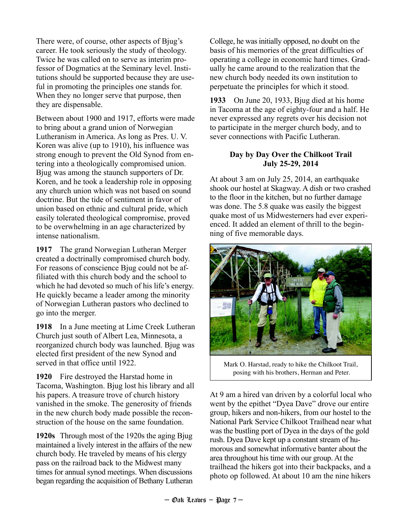There were, of course, other aspects of Bjug's career. He took seriously the study of theology. Twice he was called on to serve as interim professor of Dogmatics at the Seminary level. Institutions should be supported because they are useful in promoting the principles one stands for. When they no longer serve that purpose, then they are dispensable.

Between about 1900 and 1917, efforts were made to bring about a grand union of Norwegian Lutheranism in America. As long as Pres. U. V. Koren was alive (up to 1910), his influence was strong enough to prevent the Old Synod from entering into a theologically compromised union. Bjug was among the staunch supporters of Dr. Koren, and he took a leadership role in opposing any church union which was not based on sound doctrine. But the tide of sentiment in favor of union based on ethnic and cultural pride, which easily tolerated theological compromise, proved to be overwhelming in an age characterized by intense nationalism.

**1917** The grand Norwegian Lutheran Merger created a doctrinally compromised church body. For reasons of conscience Bjug could not be affiliated with this church body and the school to which he had devoted so much of his life's energy. He quickly became a leader among the minority of Norwegian Lutheran pastors who declined to go into the merger.

**1918** In a June meeting at Lime Creek Lutheran Church just south of Albert Lea, Minnesota, a reorganized church body was launched. Bjug was elected first president of the new Synod and served in that office until 1922.

**1920** Fire destroyed the Harstad home in Tacoma, Washington. Bjug lost his library and all his papers. A treasure trove of church history vanished in the smoke. The generosity of friends in the new church body made possible the reconstruction of the house on the same foundation.

**1920s** Through most of the 1920s the aging Bjug maintained a lively interest in the affairs of the new church body. He traveled by means of his clergy pass on the railroad back to the Midwest many times for annual synod meetings. When discussions began regarding the acquisition of Bethany Lutheran College, he was initially opposed, no doubt on the basis of his memories of the great difficulties of operating a college in economic hard times. Gradually he came around to the realization that the new church body needed its own institution to perpetuate the principles for which it stood.

**1933** On June 20, 1933, Bjug died at his home in Tacoma at the age of eighty-four and a half. He never expressed any regrets over his decision not to participate in the merger church body, and to sever connections with Pacific Lutheran.

### **Day by Day Over the Chilkoot Trail July 25-29, 2014**

At about 3 am on July 25, 2014, an earthquake shook our hostel at Skagway. A dish or two crashed to the floor in the kitchen, but no further damage was done. The 5.8 quake was easily the biggest quake most of us Midwesterners had ever experienced. It added an element of thrill to the beginning of five memorable days.



Mark O. Harstad, ready to hike the Chilkoot Trail, posing with his brothers, Herman and Peter.

At 9 am a hired van driven by a colorful local who went by the epithet "Dyea Dave" drove our entire group, hikers and non-hikers, from our hostel to the National Park Service Chilkoot Trailhead near what was the bustling port of Dyea in the days of the gold rush. Dyea Dave kept up a constant stream of humorous and somewhat informative banter about the area throughout his time with our group. At the trailhead the hikers got into their backpacks, and a photo op followed. At about 10 am the nine hikers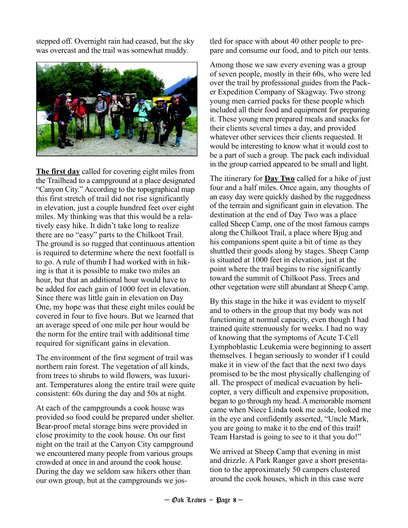stepped off. Overnight rain had ceased, but the sky was overcast and the trail was somewhat muddy.



**The first day** called for covering eight miles from the Trailhead to a campground at a place designated "Canyon City." According to the topographical map this first stretch of trail did not rise significantly in elevation, just a couple hundred feet over eight miles. My thinking was that this would be a relatively easy hike. It didn't take long to realize there are no "easy" parts to the Chilkoot Trail. The ground is so rugged that continuous attention is required to determine where the next footfall is to go. A rule of thumb I had worked with in hiking is that it is possible to make two miles an hour, but that an additional hour would have to be added for each gain of 1000 feet in elevation. Since there was little gain in elevation on Day One, my hope was that these eight miles could be covered in four to five hours. But we learned that an average speed of one mile per hour would be the norm for the entire trail with additional time required for significant gains in elevation.

The environment of the first segment of trail was northern rain forest. The vegetation of all kinds, from trees to shrubs to wild flowers, was luxuriant. Temperatures along the entire trail were quite consistent: 60s during the day and 50s at night.

At each of the campgrounds a cook house was provided so food could be prepared under shelter. Bear-proof metal storage bins were provided in close proximity to the cook house. On our first night on the trail at the Canyon City campground we encountered many people from various groups crowded at once in and around the cook house. During the day we seldom saw hikers other than our own group, but at the campgrounds we jostled for space with about 40 other people to prepare and consume our food, and to pitch our tents.

Among those we saw every evening was a group of seven people, mostly in their 60s, who were led over the trail by professional guides from the Packer Expedition Company of Skagway. Two strong young men carried packs for these people which included all their food and equipment for preparing it. These young men prepared meals and snacks for their clients several times a day, and provided whatever other services their clients requested. It would be interesting to know what it would cost to be a part of such a group. The pack each individual in the group carried appeared to be small and light.

The itinerary for **Day Two** called for a hike of just four and a half miles. Once again, any thoughts of an easy day were quickly dashed by the ruggedness of the terrain and significant gain in elevation. The destination at the end of Day Two was a place called Sheep Camp, one of the most famous camps along the Chilkoot Trail, a place where Bjug and his companions spent quite a bit of time as they shuttled their goods along by stages. Sheep Camp is situated at 1000 feet in elevation, just at the point where the trail begins to rise significantly toward the summit of Chilkoot Pass. Trees and other vegetation were still abundant at Sheep Camp.

By this stage in the hike it was evident to myself and to others in the group that my body was not functioning at normal capacity, even though I had trained quite strenuously for weeks. I had no way of knowing that the symptoms of Acute T-Cell Lymphoblastic Leukemia were beginning to assert themselves. I began seriously to wonder if I could make it in view of the fact that the next two days promised to be the most physically challenging of all. The prospect of medical evacuation by helicopter, a very difficult and expensive proposition, began to go through my head. A memorable moment came when Niece Linda took me aside, looked me in the eye and confidently asserted, "Uncle Mark, you are going to make it to the end of this trail! Team Harstad is going to see to it that you do!"

We arrived at Sheep Camp that evening in mist and drizzle. A Park Ranger gave a short presentation to the approximately 50 campers clustered around the cook houses, which in this case were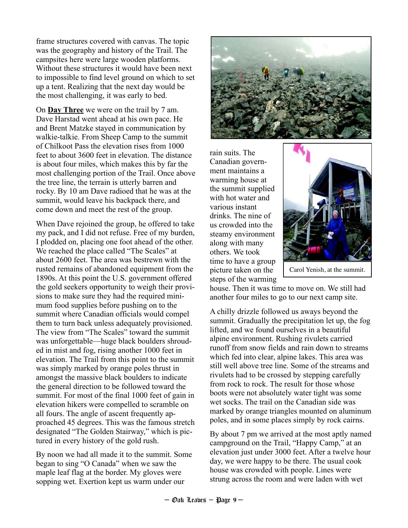frame structures covered with canvas. The topic was the geography and history of the Trail. The campsites here were large wooden platforms. Without these structures it would have been next to impossible to find level ground on which to set up a tent. Realizing that the next day would be the most challenging, it was early to bed.

On **Day Three** we were on the trail by 7 am. Dave Harstad went ahead at his own pace. He and Brent Matzke stayed in communication by walkie-talkie. From Sheep Camp to the summit of Chilkoot Pass the elevation rises from 1000 feet to about 3600 feet in elevation. The distance is about four miles, which makes this by far the most challenging portion of the Trail. Once above the tree line, the terrain is utterly barren and rocky. By 10 am Dave radioed that he was at the summit, would leave his backpack there, and come down and meet the rest of the group.

When Dave rejoined the group, he offered to take my pack, and I did not refuse. Free of my burden, I plodded on, placing one foot ahead of the other. We reached the place called "The Scales" at about 2600 feet. The area was bestrewn with the rusted remains of abandoned equipment from the 1890s. At this point the U.S. government offered the gold seekers opportunity to weigh their provisions to make sure they had the required minimum food supplies before pushing on to the summit where Canadian officials would compel them to turn back unless adequately provisioned. The view from "The Scales" toward the summit was unforgettable—huge black boulders shrouded in mist and fog, rising another 1000 feet in elevation. The Trail from this point to the summit was simply marked by orange poles thrust in amongst the massive black boulders to indicate the general direction to be followed toward the summit. For most of the final 1000 feet of gain in elevation hikers were compelled to scramble on all fours. The angle of ascent frequently approached 45 degrees. This was the famous stretch designated "The Golden Stairway," which is pictured in every history of the gold rush.

By noon we had all made it to the summit. Some began to sing "O Canada" when we saw the maple leaf flag at the border. My gloves were sopping wet. Exertion kept us warm under our



rain suits. The Canadian government maintains a warming house at the summit supplied with hot water and various instant drinks. The nine of us crowded into the steamy environment along with many others. We took time to have a group picture taken on the steps of the warming



Carol Yenish, at the summit.

house. Then it was time to move on. We still had another four miles to go to our next camp site.

A chilly drizzle followed us aways beyond the summit. Gradually the precipitation let up, the fog lifted, and we found ourselves in a beautiful alpine environment. Rushing rivulets carried runoff from snow fields and rain down to streams which fed into clear, alpine lakes. This area was still well above tree line. Some of the streams and rivulets had to be crossed by stepping carefully from rock to rock. The result for those whose boots were not absolutely water tight was some wet socks. The trail on the Canadian side was marked by orange triangles mounted on aluminum poles, and in some places simply by rock cairns.

By about 7 pm we arrived at the most aptly named campground on the Trail, "Happy Camp," at an elevation just under 3000 feet. After a twelve hour day, we were happy to be there. The usual cook house was crowded with people. Lines were strung across the room and were laden with wet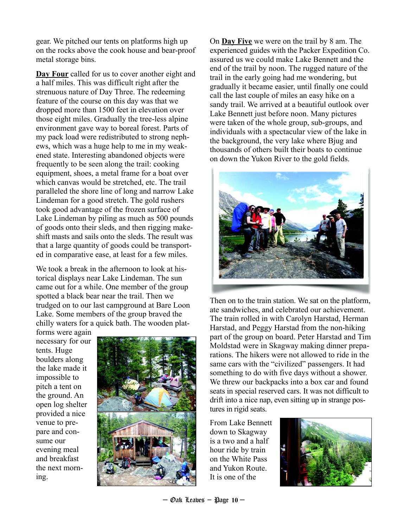gear. We pitched our tents on platforms high up on the rocks above the cook house and bear-proof metal storage bins.

**Day Four** called for us to cover another eight and a half miles. This was difficult right after the strenuous nature of Day Three. The redeeming feature of the course on this day was that we dropped more than 1500 feet in elevation over those eight miles. Gradually the tree-less alpine environment gave way to boreal forest. Parts of my pack load were redistributed to strong nephews, which was a huge help to me in my weakened state. Interesting abandoned objects were frequently to be seen along the trail: cooking equipment, shoes, a metal frame for a boat over which canvas would be stretched, etc. The trail paralleled the shore line of long and narrow Lake Lindeman for a good stretch. The gold rushers took good advantage of the frozen surface of Lake Lindeman by piling as much as 500 pounds of goods onto their sleds, and then rigging makeshift masts and sails onto the sleds. The result was that a large quantity of goods could be transported in comparative ease, at least for a few miles.

We took a break in the afternoon to look at historical displays near Lake Lindeman. The sun came out for a while. One member of the group spotted a black bear near the trail. Then we trudged on to our last campground at Bare Loon Lake. Some members of the group braved the chilly waters for a quick bath. The wooden plat-

forms were again necessary for our tents. Huge boulders along the lake made it impossible to pitch a tent on the ground. An open log shelter provided a nice venue to prepare and consume our evening meal and breakfast the next morning.



On **Day Five** we were on the trail by 8 am. The experienced guides with the Packer Expedition Co. assured us we could make Lake Bennett and the end of the trail by noon. The rugged nature of the trail in the early going had me wondering, but gradually it became easier, until finally one could call the last couple of miles an easy hike on a sandy trail. We arrived at a beautiful outlook over Lake Bennett just before noon. Many pictures were taken of the whole group, sub-groups, and individuals with a spectacular view of the lake in the background, the very lake where Bjug and thousands of others built their boats to continue on down the Yukon River to the gold fields.



Then on to the train station. We sat on the platform, ate sandwiches, and celebrated our achievement. The train rolled in with Carolyn Harstad, Herman Harstad, and Peggy Harstad from the non-hiking part of the group on board. Peter Harstad and Tim Moldstad were in Skagway making dinner preparations. The hikers were not allowed to ride in the same cars with the "civilized" passengers. It had something to do with five days without a shower. We threw our backpacks into a box car and found seats in special reserved cars. It was not difficult to drift into a nice nap, even sitting up in strange postures in rigid seats.

From Lake Bennett down to Skagway is a two and a half hour ride by train on the White Pass and Yukon Route. It is one of the

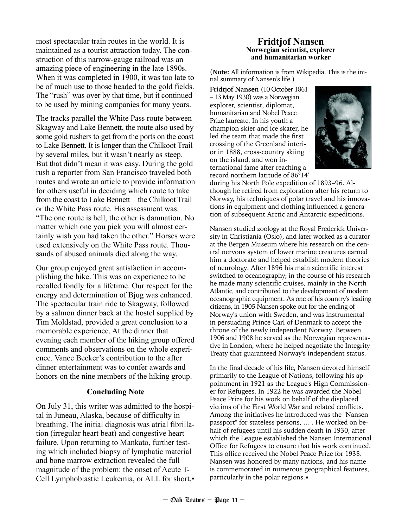most spectacular train routes in the world. It is maintained as a tourist attraction today. The construction of this narrow-gauge railroad was an amazing piece of engineering in the late 1890s. When it was completed in 1900, it was too late to be of much use to those headed to the gold fields. The "rush" was over by that time, but it continued to be used by mining companies for many years.

The tracks parallel the White Pass route between Skagway and Lake Bennett, the route also used by some gold rushers to get from the ports on the coast to Lake Bennett. It is longer than the Chilkoot Trail by several miles, but it wasn't nearly as steep. But that didn't mean it was easy. During the gold rush a reporter from San Francisco traveled both routes and wrote an article to provide information for others useful in deciding which route to take from the coast to Lake Bennett—the Chilkoot Trail or the White Pass route. His assessment was: "The one route is hell, the other is damnation. No matter which one you pick you will almost certainly wish you had taken the other." Horses were used extensively on the White Pass route. Thousands of abused animals died along the way.

Our group enjoyed great satisfaction in accomplishing the hike. This was an experience to be recalled fondly for a lifetime. Our respect for the energy and determination of Bjug was enhanced. The spectacular train ride to Skagway, followed by a salmon dinner back at the hostel supplied by Tim Moldstad, provided a great conclusion to a memorable experience. At the dinner that evening each member of the hiking group offered comments and observations on the whole experience. Vance Becker's contribution to the after dinner entertainment was to confer awards and honors on the nine members of the hiking group.

#### **Concluding Note**

On July 31, this writer was admitted to the hospital in Juneau, Alaska, because of difficulty in breathing. The initial diagnosis was atrial fibrillation (irregular heart beat) and congestive heart failure. Upon returning to Mankato, further testing which included biopsy of lymphatic material and bone marrow extraction revealed the full magnitude of the problem: the onset of Acute T-Cell Lymphoblastic Leukemia, or ALL for short.

#### **Fridtjof Nansen Norwegian scientist, explorer and humanitarian worker**

(**Note:** All information is from Wikipedia. This is the initial summary of Nansen's life.)

**Fridtjof Nansen** (10 October 1861 – 13 May 1930) was a Norwegian explorer, scientist, diplomat, humanitarian and Nobel Peace Prize laureate. In his youth a champion skier and ice skater, he led the team that made the first crossing of the Greenland interior in 1888, cross-country skiing on the island, and won international fame after reaching a record northern latitude of 86°14′



during his North Pole expedition of 1893–96. Although he retired from exploration after his return to Norway, his techniques of polar travel and his innovations in equipment and clothing influenced a generation of subsequent Arctic and Antarctic expeditions.

Nansen studied zoology at the Royal Frederick University in Christiania (Oslo), and later worked as a curator at the Bergen Museum where his research on the central nervous system of lower marine creatures earned him a doctorate and helped establish modern theories of neurology. After 1896 his main scientific interest switched to oceanography; in the course of his research he made many scientific cruises, mainly in the North Atlantic, and contributed to the development of modern oceanographic equipment. As one of his country's leading citizens, in 1905 Nansen spoke out for the ending of Norway's union with Sweden, and was instrumental in persuading Prince Carl of Denmark to accept the throne of the newly independent Norway. Between 1906 and 1908 he served as the Norwegian representative in London, where he helped negotiate the Integrity Treaty that guaranteed Norway's independent status.

In the final decade of his life, Nansen devoted himself primarily to the League of Nations, following his appointment in 1921 as the League's High Commissioner for Refugees. In 1922 he was awarded the Nobel Peace Prize for his work on behalf of the displaced victims of the First World War and related conflicts. Among the initiatives he introduced was the "Nansen passport" for stateless persons, … . He worked on behalf of refugees until his sudden death in 1930, after which the League established the Nansen International Office for Refugees to ensure that his work continued. This office received the Nobel Peace Prize for 1938. Nansen was honored by many nations, and his name is commemorated in numerous geographical features, particularly in the polar regions.▪